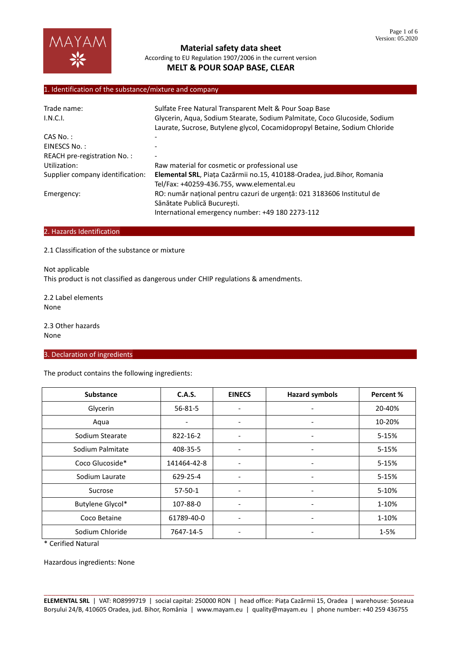# 1. Identification of the substance/mixture and company

| Trade name:                      | Sulfate Free Natural Transparent Melt & Pour Soap Base                                                                                                    |  |  |  |
|----------------------------------|-----------------------------------------------------------------------------------------------------------------------------------------------------------|--|--|--|
| I.N.C.I.                         | Glycerin, Aqua, Sodium Stearate, Sodium Palmitate, Coco Glucoside, Sodium<br>Laurate, Sucrose, Butylene glycol, Cocamidopropyl Betaine, Sodium Chloride   |  |  |  |
| $CAS No.$ :                      |                                                                                                                                                           |  |  |  |
| EINESCS No.:                     |                                                                                                                                                           |  |  |  |
| REACH pre-registration No.:      |                                                                                                                                                           |  |  |  |
| Utilization:                     | Raw material for cosmetic or professional use                                                                                                             |  |  |  |
| Supplier company identification: | Elemental SRL, Piața Cazărmii no.15, 410188-Oradea, jud.Bihor, Romania<br>Tel/Fax: +40259-436.755, www.elemental.eu                                       |  |  |  |
| Emergency:                       | RO: număr național pentru cazuri de urgență: 021 3183606 Institutul de<br>Sănătate Publică București.<br>International emergency number: +49 180 2273-112 |  |  |  |

#### 2. Hazards Identification

2.1 Classification of the substance or mixture

Not applicable This product is not classified as dangerous under CHIP regulations & amendments.

2.2 Label elements None

2.3 Other hazards None

# 3. Declaration of ingredients

The product contains the following ingredients:

| <b>Substance</b> | <b>C.A.S.</b>            | <b>EINECS</b>                | <b>Hazard symbols</b>        | Percent % |
|------------------|--------------------------|------------------------------|------------------------------|-----------|
| Glycerin         | $56 - 81 - 5$            | ۰                            |                              | 20-40%    |
| Aqua             | $\overline{\phantom{0}}$ | $\overline{\phantom{a}}$     | $\overline{\phantom{0}}$     | 10-20%    |
| Sodium Stearate  | 822-16-2                 | $\overline{\phantom{a}}$     | -                            | $5 - 15%$ |
| Sodium Palmitate | 408-35-5                 | $\overline{\phantom{a}}$     | -                            | 5-15%     |
| Coco Glucoside*  | 141464-42-8              | $\qquad \qquad \blacksquare$ | -                            | $5 - 15%$ |
| Sodium Laurate   | 629-25-4                 | ٠                            | -                            | 5-15%     |
| Sucrose          | $57-50-1$                | $\overline{\phantom{a}}$     | -                            | 5-10%     |
| Butylene Glycol* | 107-88-0                 | ٠                            | -                            | 1-10%     |
| Coco Betaine     | 61789-40-0               | $\overline{\phantom{a}}$     | $\qquad \qquad \blacksquare$ | 1-10%     |
| Sodium Chloride  | 7647-14-5                |                              | -                            | $1 - 5%$  |

\* Cerified Natural

Hazardous ingredients: None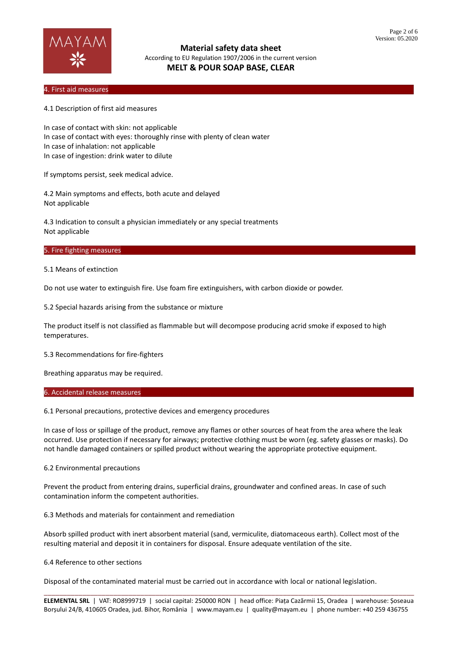

### 4. First aid measures………………………………………………………………………………………………………………………………………………………

4.1 Description of first aid measures

In case of contact with skin: not applicable In case of contact with eyes: thoroughly rinse with plenty of clean water In case of inhalation: not applicable In case of ingestion: drink water to dilute

If symptoms persist, seek medical advice.

4.2 Main symptoms and effects, both acute and delayed Not applicable

4.3 Indication to consult a physician immediately or any special treatments Not applicable

### 5. Fire fighting measures

5.1 Means of extinction

Do not use water to extinguish fire. Use foam fire extinguishers, with carbon dioxide or powder.

5.2 Special hazards arising from the substance or mixture

The product itself is not classified as flammable but will decompose producing acrid smoke if exposed to high temperatures.

5.3 Recommendations for fire-fighters

Breathing apparatus may be required.

### 6. Accidental release measures

6.1 Personal precautions, protective devices and emergency procedures

In case of loss or spillage of the product, remove any flames or other sources of heat from the area where the leak occurred. Use protection if necessary for airways; protective clothing must be worn (eg. safety glasses or masks). Do not handle damaged containers or spilled product without wearing the appropriate protective equipment.

#### 6.2 Environmental precautions

Prevent the product from entering drains, superficial drains, groundwater and confined areas. In case of such contamination inform the competent authorities.

6.3 Methods and materials for containment and remediation

Absorb spilled product with inert absorbent material (sand, vermiculite, diatomaceous earth). Collect most of the resulting material and deposit it in containers for disposal. Ensure adequate ventilation of the site.

#### 6.4 Reference to other sections

Disposal of the contaminated material must be carried out in accordance with local or national legislation.

\_\_\_\_\_\_\_\_\_\_\_\_\_\_\_\_\_\_\_\_\_\_\_\_\_\_\_\_\_\_\_\_\_\_\_\_\_\_\_\_\_\_\_\_\_\_\_\_\_\_\_\_\_\_\_\_\_\_\_\_\_\_\_\_\_\_\_\_\_\_\_\_\_\_\_\_\_\_\_\_\_\_\_\_\_\_\_\_\_\_\_\_\_\_\_\_ **ELEMENTAL SRL** | VAT: RO8999719 | social capital: 250000 RON | head office: Piața Cazărmii 15, Oradea | warehouse: Șoseaua Borșului 24/B, 410605 Oradea, jud. Bihor, România | www.mayam.eu | quality@mayam.eu | phone number: +40 259 436755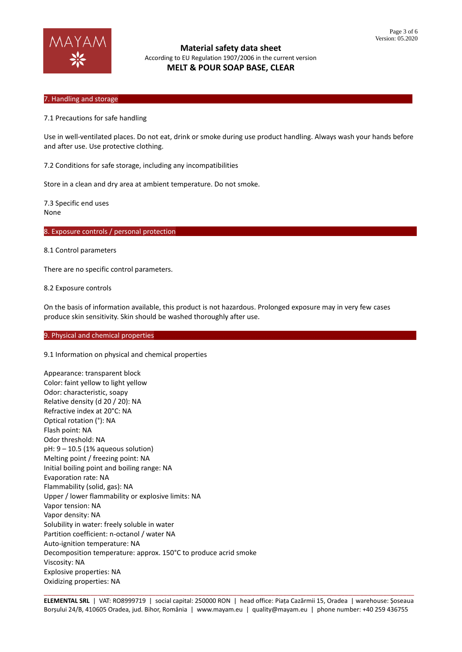

### 7. Handling and storage

7.1 Precautions for safe handling

Use in well-ventilated places. Do not eat, drink or smoke during use product handling. Always wash your hands before and after use. Use protective clothing.

7.2 Conditions for safe storage, including any incompatibilities

Store in a clean and dry area at ambient temperature. Do not smoke.

7.3 Specific end uses None

8. Exposure controls / personal protection

8.1 Control parameters

There are no specific control parameters.

8.2 Exposure controls

On the basis of information available, this product is not hazardous. Prolonged exposure may in very few cases produce skin sensitivity. Skin should be washed thoroughly after use.

#### 9. Physical and chemical properties

9.1 Information on physical and chemical properties

Appearance: transparent block Color: faint yellow to light yellow Odor: characteristic, soapy Relative density (d 20 / 20): NA Refractive index at 20°C: NA Optical rotation (°): NA Flash point: NA Odor threshold: NA pH: 9 – 10.5 (1% aqueous solution) Melting point / freezing point: NA Initial boiling point and boiling range: NA Evaporation rate: NA Flammability (solid, gas): NA Upper / lower flammability or explosive limits: NA Vapor tension: NA Vapor density: NA Solubility in water: freely soluble in water Partition coefficient: n-octanol / water NA Auto-ignition temperature: NA Decomposition temperature: approx. 150°C to produce acrid smoke Viscosity: NA Explosive properties: NA Oxidizing properties: NA

\_\_\_\_\_\_\_\_\_\_\_\_\_\_\_\_\_\_\_\_\_\_\_\_\_\_\_\_\_\_\_\_\_\_\_\_\_\_\_\_\_\_\_\_\_\_\_\_\_\_\_\_\_\_\_\_\_\_\_\_\_\_\_\_\_\_\_\_\_\_\_\_\_\_\_\_\_\_\_\_\_\_\_\_\_\_\_\_\_\_\_\_\_\_\_\_ **ELEMENTAL SRL** | VAT: RO8999719 | social capital: 250000 RON | head office: Piața Cazărmii 15, Oradea | warehouse: Șoseaua Borșului 24/B, 410605 Oradea, jud. Bihor, România | www.mayam.eu | quality@mayam.eu | phone number: +40 259 436755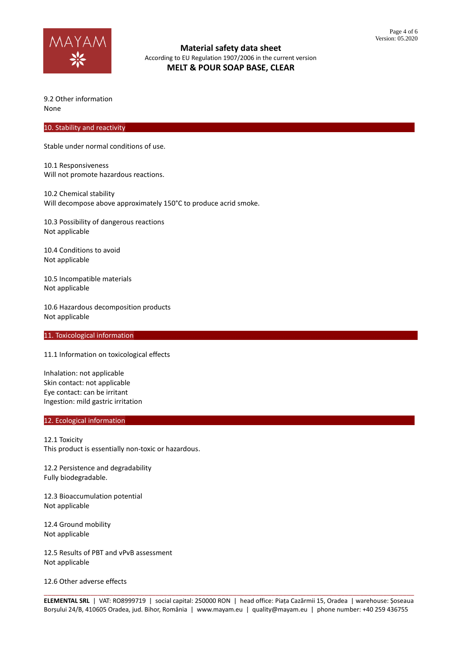

9.2 Other information None

#### 10. Stability and reactivity

Stable under normal conditions of use.

10.1 Responsiveness Will not promote hazardous reactions.

10.2 Chemical stability Will decompose above approximately 150°C to produce acrid smoke.

10.3 Possibility of dangerous reactions Not applicable

10.4 Conditions to avoid Not applicable

10.5 Incompatible materials Not applicable

10.6 Hazardous decomposition products Not applicable

#### 11. Toxicological information

11.1 Information on toxicological effects

Inhalation: not applicable Skin contact: not applicable Eye contact: can be irritant Ingestion: mild gastric irritation

### 12. Ecological information

12.1 Toxicity This product is essentially non-toxic or hazardous.

12.2 Persistence and degradability Fully biodegradable.

12.3 Bioaccumulation potential Not applicable

12.4 Ground mobility Not applicable

12.5 Results of PBT and vPvB assessment Not applicable

12.6 Other adverse effects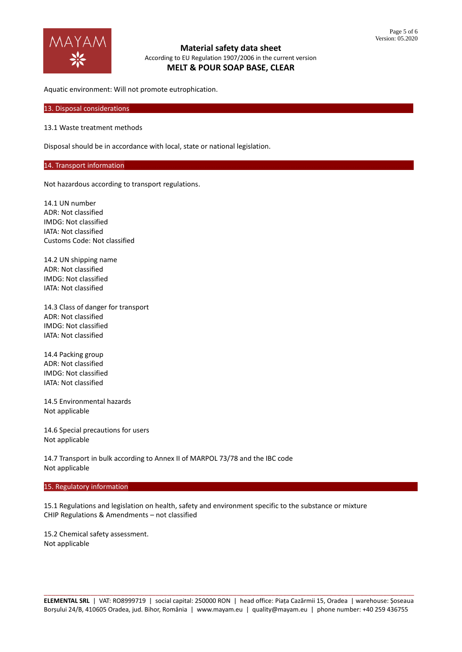

Aquatic environment: Will not promote eutrophication.

13. Disposal considerations

13.1 Waste treatment methods

Disposal should be in accordance with local, state or national legislation.

## 14. Transport information

Not hazardous according to transport regulations.

14.1 UN number ADR: Not classified IMDG: Not classified IATA: Not classified Customs Code: Not classified

14.2 UN shipping name ADR: Not classified IMDG: Not classified IATA: Not classified

14.3 Class of danger for transport ADR: Not classified IMDG: Not classified IATA: Not classified

14.4 Packing group ADR: Not classified IMDG: Not classified IATA: Not classified

14.5 Environmental hazards Not applicable

14.6 Special precautions for users Not applicable

14.7 Transport in bulk according to Annex II of MARPOL 73/78 and the IBC code Not applicable

### 15. Regulatory information

15.1 Regulations and legislation on health, safety and environment specific to the substance or mixture CHIP Regulations & Amendments – not classified

15.2 Chemical safety assessment. Not applicable